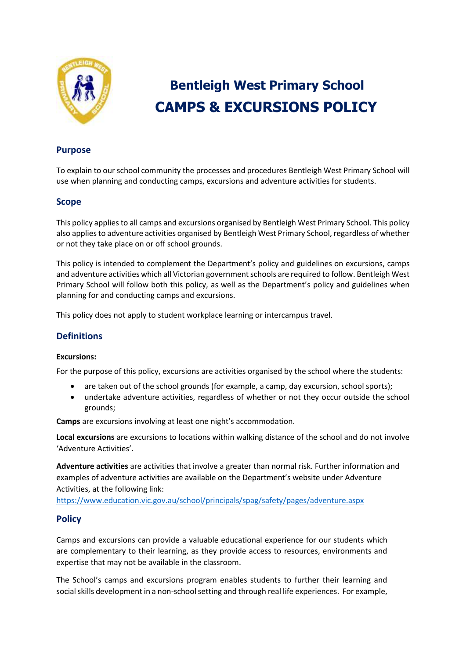

# **Bentleigh West Primary School CAMPS & EXCURSIONS POLICY**

# **Purpose**

To explain to our school community the processes and procedures Bentleigh West Primary School will use when planning and conducting camps, excursions and adventure activities for students.

#### **Scope**

This policy applies to all camps and excursions organised by Bentleigh West Primary School. This policy also applies to adventure activities organised by Bentleigh West Primary School, regardless of whether or not they take place on or off school grounds.

This policy is intended to complement the Department's policy and guidelines on excursions, camps and adventure activities which all Victorian government schools are required to follow. Bentleigh West Primary School will follow both this policy, as well as the Department's policy and guidelines when planning for and conducting camps and excursions.

This policy does not apply to student workplace learning or intercampus travel.

## **Definitions**

#### **Excursions:**

For the purpose of this policy, excursions are activities organised by the school where the students:

- are taken out of the school grounds (for example, a camp, day excursion, school sports);
- undertake adventure activities, regardless of whether or not they occur outside the school grounds;

**Camps** are excursions involving at least one night's accommodation.

**Local excursions** are excursions to locations within walking distance of the school and do not involve 'Adventure Activities'.

**Adventure activities** are activities that involve a greater than normal risk. Further information and examples of adventure activities are available on the Department's website under Adventure Activities, at the following link:

<https://www.education.vic.gov.au/school/principals/spag/safety/pages/adventure.aspx>

## **Policy**

Camps and excursions can provide a valuable educational experience for our students which are complementary to their learning, as they provide access to resources, environments and expertise that may not be available in the classroom.

The School's camps and excursions program enables students to further their learning and social skills development in a non-school setting and through real life experiences. For example,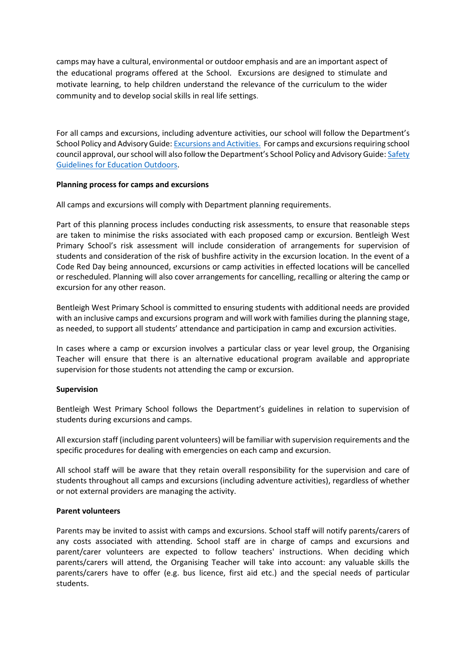camps may have a cultural, environmental or outdoor emphasis and are an important aspect of the educational programs offered at the School. Excursions are designed to stimulate and motivate learning, to help children understand the relevance of the curriculum to the wider community and to develop social skills in real life settings.

For all camps and excursions, including adventure activities, our school will follow the Department's School Policy and Advisory Guide[: Excursions and Activities.](http://www.education.vic.gov.au/school/principals/spag/safety/pages/excursions.aspx) For camps and excursions requiring school council approval, our school will also follow the Department's School Policy and Advisory Guide: Safety [Guidelines for Education Outdoors.](https://www.education.vic.gov.au/school/teachers/studentmanagement/excursions/Pages/outdoorguidelines.aspx)

#### **Planning process for camps and excursions**

All camps and excursions will comply with Department planning requirements.

Part of this planning process includes conducting risk assessments, to ensure that reasonable steps are taken to minimise the risks associated with each proposed camp or excursion. Bentleigh West Primary School's risk assessment will include consideration of arrangements for supervision of students and consideration of the risk of bushfire activity in the excursion location. In the event of a Code Red Day being announced, excursions or camp activities in effected locations will be cancelled or rescheduled. Planning will also cover arrangements for cancelling, recalling or altering the camp or excursion for any other reason.

Bentleigh West Primary School is committed to ensuring students with additional needs are provided with an inclusive camps and excursions program and will work with families during the planning stage, as needed, to support all students' attendance and participation in camp and excursion activities.

In cases where a camp or excursion involves a particular class or year level group, the Organising Teacher will ensure that there is an alternative educational program available and appropriate supervision for those students not attending the camp or excursion.

#### **Supervision**

Bentleigh West Primary School follows the Department's guidelines in relation to supervision of students during excursions and camps.

All excursion staff (including parent volunteers) will be familiar with supervision requirements and the specific procedures for dealing with emergencies on each camp and excursion.

All school staff will be aware that they retain overall responsibility for the supervision and care of students throughout all camps and excursions (including adventure activities), regardless of whether or not external providers are managing the activity.

#### **Parent volunteers**

Parents may be invited to assist with camps and excursions. School staff will notify parents/carers of any costs associated with attending. School staff are in charge of camps and excursions and parent/carer volunteers are expected to follow teachers' instructions. When deciding which parents/carers will attend, the Organising Teacher will take into account: any valuable skills the parents/carers have to offer (e.g. bus licence, first aid etc.) and the special needs of particular students.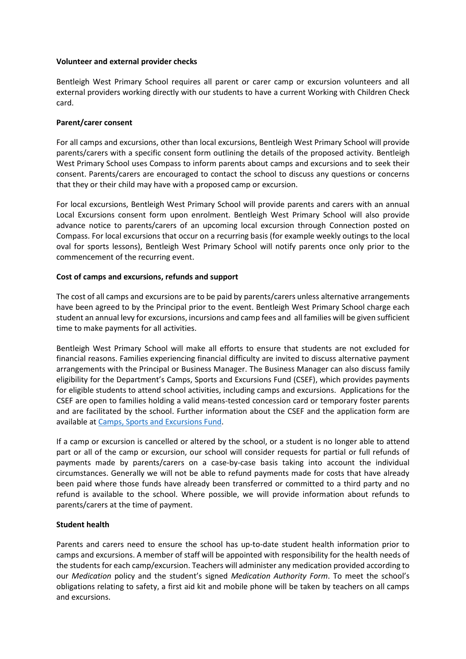#### **Volunteer and external provider checks**

Bentleigh West Primary School requires all parent or carer camp or excursion volunteers and all external providers working directly with our students to have a current Working with Children Check card.

#### **Parent/carer consent**

For all camps and excursions, other than local excursions, Bentleigh West Primary School will provide parents/carers with a specific consent form outlining the details of the proposed activity. Bentleigh West Primary School uses Compass to inform parents about camps and excursions and to seek their consent. Parents/carers are encouraged to contact the school to discuss any questions or concerns that they or their child may have with a proposed camp or excursion.

For local excursions, Bentleigh West Primary School will provide parents and carers with an annual Local Excursions consent form upon enrolment. Bentleigh West Primary School will also provide advance notice to parents/carers of an upcoming local excursion through Connection posted on Compass. For local excursions that occur on a recurring basis (for example weekly outings to the local oval for sports lessons), Bentleigh West Primary School will notify parents once only prior to the commencement of the recurring event.

#### **Cost of camps and excursions, refunds and support**

The cost of all camps and excursions are to be paid by parents/carers unless alternative arrangements have been agreed to by the Principal prior to the event. Bentleigh West Primary School charge each student an annual levy for excursions, incursions and camp fees and all families will be given sufficient time to make payments for all activities.

Bentleigh West Primary School will make all efforts to ensure that students are not excluded for financial reasons. Families experiencing financial difficulty are invited to discuss alternative payment arrangements with the Principal or Business Manager. The Business Manager can also discuss family eligibility for the Department's Camps, Sports and Excursions Fund (CSEF), which provides payments for eligible students to attend school activities, including camps and excursions. Applications for the CSEF are open to families holding a valid means-tested concession card or temporary foster parents and are facilitated by the school. Further information about the CSEF and the application form are available a[t Camps, Sports and Excursions Fund.](http://www.education.vic.gov.au/about/programs/Pages/csef.aspx)

If a camp or excursion is cancelled or altered by the school, or a student is no longer able to attend part or all of the camp or excursion, our school will consider requests for partial or full refunds of payments made by parents/carers on a case-by-case basis taking into account the individual circumstances. Generally we will not be able to refund payments made for costs that have already been paid where those funds have already been transferred or committed to a third party and no refund is available to the school. Where possible, we will provide information about refunds to parents/carers at the time of payment.

#### **Student health**

Parents and carers need to ensure the school has up-to-date student health information prior to camps and excursions. A member of staff will be appointed with responsibility for the health needs of the students for each camp/excursion. Teachers will administer any medication provided according to our *Medication* policy and the student's signed *Medication Authority Form*. To meet the school's obligations relating to safety, a first aid kit and mobile phone will be taken by teachers on all camps and excursions.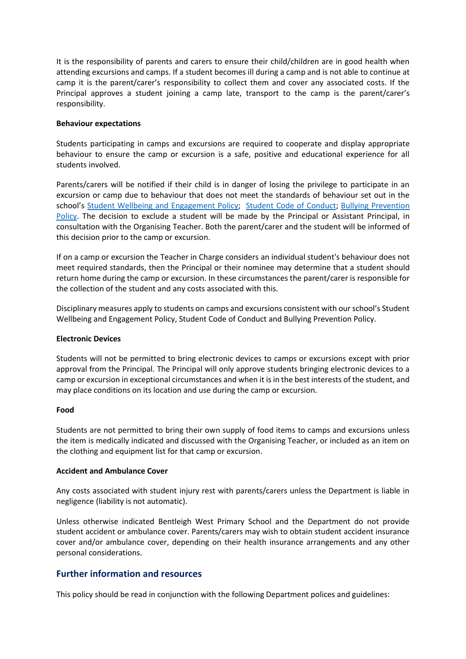It is the responsibility of parents and carers to ensure their child/children are in good health when attending excursions and camps. If a student becomes ill during a camp and is not able to continue at camp it is the parent/carer's responsibility to collect them and cover any associated costs. If the Principal approves a student joining a camp late, transport to the camp is the parent/carer's responsibility.

#### **Behaviour expectations**

Students participating in camps and excursions are required to cooperate and display appropriate behaviour to ensure the camp or excursion is a safe, positive and educational experience for all students involved.

Parents/carers will be notified if their child is in danger of losing the privilege to participate in an excursion or camp due to behaviour that does not meet the standards of behaviour set out in the school's [Student Wellbeing and Engagement Policy;](https://www.bentleighwestps.vic.edu.au/our-policies) [Student Code of Conduct;](https://www.bentleighwestps.vic.edu.au/our-policies) [Bullying Prevention](https://www.bentleighwestps.vic.edu.au/our-policies) [Policy.](https://www.bentleighwestps.vic.edu.au/our-policies) The decision to exclude a student will be made by the Principal or Assistant Principal, in consultation with the Organising Teacher. Both the parent/carer and the student will be informed of this decision prior to the camp or excursion.

If on a camp or excursion the Teacher in Charge considers an individual student's behaviour does not meet required standards, then the Principal or their nominee may determine that a student should return home during the camp or excursion. In these circumstances the parent/carer is responsible for the collection of the student and any costs associated with this.

Disciplinary measures apply to students on camps and excursions consistent with our school's Student Wellbeing and Engagement Policy, Student Code of Conduct and Bullying Prevention Policy.

#### **Electronic Devices**

Students will not be permitted to bring electronic devices to camps or excursions except with prior approval from the Principal. The Principal will only approve students bringing electronic devices to a camp or excursion in exceptional circumstances and when it is in the best interests of the student, and may place conditions on its location and use during the camp or excursion.

#### **Food**

Students are not permitted to bring their own supply of food items to camps and excursions unless the item is medically indicated and discussed with the Organising Teacher, or included as an item on the clothing and equipment list for that camp or excursion.

#### **Accident and Ambulance Cover**

Any costs associated with student injury rest with parents/carers unless the Department is liable in negligence (liability is not automatic).

Unless otherwise indicated Bentleigh West Primary School and the Department do not provide student accident or ambulance cover. Parents/carers may wish to obtain student accident insurance cover and/or ambulance cover, depending on their health insurance arrangements and any other personal considerations.

# **Further information and resources**

This policy should be read in conjunction with the following Department polices and guidelines: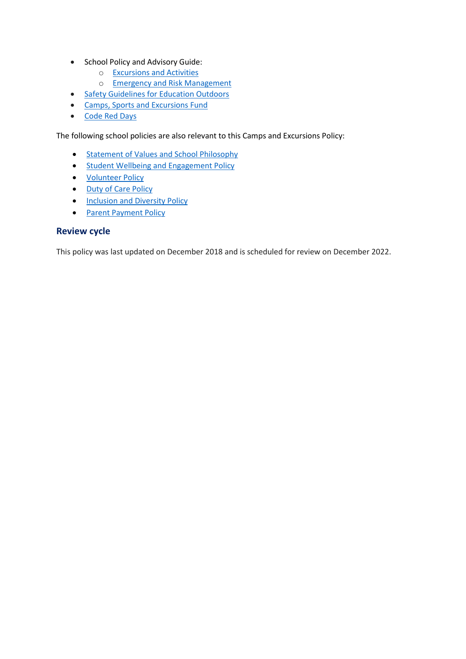- School Policy and Advisory Guide:
	- o [Excursions and Activities](http://www.education.vic.gov.au/school/principals/spag/safety/Pages/excursions.aspx)
	- o [Emergency and Risk Management](http://www.education.vic.gov.au/school/principals/spag/safety/Pages/excursionsafety.aspx)
- **[Safety Guidelines for Education Outdoors](https://www.education.vic.gov.au/school/teachers/studentmanagement/excursions/Pages/outdoorguidelines.aspx)**
- [Camps, Sports and Excursions Fund](http://www.education.vic.gov.au/about/programs/Pages/csef.aspx)
- [Code Red Days](https://www.education.vic.gov.au/about/programs/health/Pages/coderedabout.aspx)

The following school policies are also relevant to this Camps and Excursions Policy:

- **•** [Statement of Values and School Philosophy](https://www.bentleighwestps.vic.edu.au/our-policies)
- **•** [Student Wellbeing and Engagement Policy](https://www.bentleighwestps.vic.edu.au/our-policies)
- [Volunteer Policy](https://www.bentleighwestps.vic.edu.au/our-policies)
- [Duty of Care Policy](https://www.bentleighwestps.vic.edu.au/our-policies)
- Inclusion and [Diversity Policy](https://www.bentleighwestps.vic.edu.au/our-policies)
- [Parent Payment Policy](https://www.bentleighwestps.vic.edu.au/our-policies)

# **Review cycle**

This policy was last updated on December 2018 and is scheduled for review on December 2022.